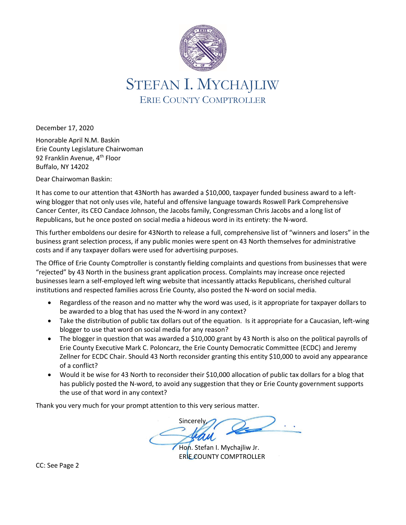

December 17, 2020

Honorable April N.M. Baskin Erie County Legislature Chairwoman 92 Franklin Avenue, 4<sup>th</sup> Floor Buffalo, NY 14202

Dear Chairwoman Baskin:

It has come to our attention that 43North has awarded a \$10,000, taxpayer funded business award to a leftwing blogger that not only uses vile, hateful and offensive language towards Roswell Park Comprehensive Cancer Center, its CEO Candace Johnson, the Jacobs family, Congressman Chris Jacobs and a long list of Republicans, but he once posted on social media a hideous word in its entirety: the N-word.

This further emboldens our desire for 43North to release a full, comprehensive list of "winners and losers" in the business grant selection process, if any public monies were spent on 43 North themselves for administrative costs and if any taxpayer dollars were used for advertising purposes.

The Office of Erie County Comptroller is constantly fielding complaints and questions from businesses that were "rejected" by 43 North in the business grant application process. Complaints may increase once rejected businesses learn a self-employed left wing website that incessantly attacks Republicans, cherished cultural institutions and respected families across Erie County, also posted the N-word on social media.

- Regardless of the reason and no matter why the word was used, is it appropriate for taxpayer dollars to be awarded to a blog that has used the N-word in any context?
- Take the distribution of public tax dollars out of the equation. Is it appropriate for a Caucasian, left-wing blogger to use that word on social media for any reason?
- The blogger in question that was awarded a \$10,000 grant by 43 North is also on the political payrolls of Erie County Executive Mark C. Poloncarz, the Erie County Democratic Committee (ECDC) and Jeremy Zellner for ECDC Chair. Should 43 North reconsider granting this entity \$10,000 to avoid any appearance of a conflict?
- Would it be wise for 43 North to reconsider their \$10,000 allocation of public tax dollars for a blog that has publicly posted the N-word, to avoid any suggestion that they or Erie County government supports the use of that word in any context?

Thank you very much for your prompt attention to this very serious matter.

Sincerely,

Hon. Stefan I. Mychajliw Jr. ERIE COUNTY COMPTROLLER

CC: See Page 2